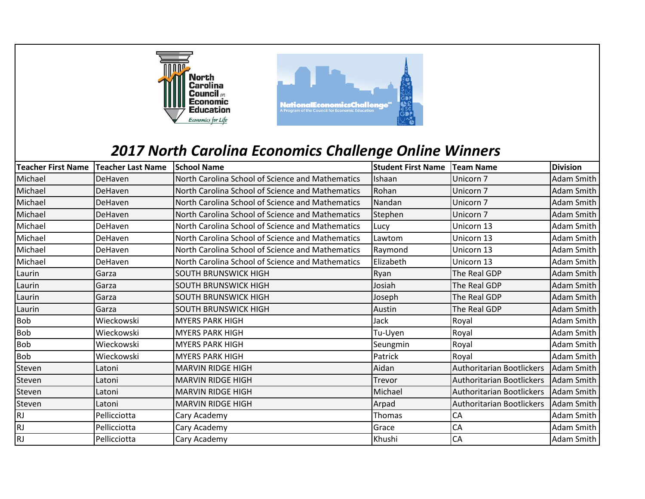

## *2017 North Carolina Economics Challenge Online Winners*

| Teacher First Name Teacher Last Name |              | <b>School Name</b>                               | <b>Student First Name</b> | <b>Team Name</b>                 | <b>Division</b>   |
|--------------------------------------|--------------|--------------------------------------------------|---------------------------|----------------------------------|-------------------|
| Michael                              | DeHaven      | North Carolina School of Science and Mathematics | Ishaan                    | Unicorn 7                        | <b>Adam Smith</b> |
| Michael                              | DeHaven      | North Carolina School of Science and Mathematics | Rohan                     | Unicorn 7                        | Adam Smith        |
| Michael                              | DeHaven      | North Carolina School of Science and Mathematics | Nandan                    | Unicorn 7                        | Adam Smith        |
| Michael                              | DeHaven      | North Carolina School of Science and Mathematics | Stephen                   | Unicorn 7                        | <b>Adam Smith</b> |
| Michael                              | DeHaven      | North Carolina School of Science and Mathematics | Lucy                      | Unicorn 13                       | Adam Smith        |
| Michael                              | DeHaven      | North Carolina School of Science and Mathematics | Lawtom                    | Unicorn 13                       | Adam Smith        |
| Michael                              | DeHaven      | North Carolina School of Science and Mathematics | Raymond                   | Unicorn 13                       | Adam Smith        |
| Michael                              | DeHaven      | North Carolina School of Science and Mathematics | Elizabeth                 | Unicorn 13                       | Adam Smith        |
| Laurin                               | Garza        | <b>SOUTH BRUNSWICK HIGH</b>                      | Ryan                      | The Real GDP                     | <b>Adam Smith</b> |
| Laurin                               | Garza        | SOUTH BRUNSWICK HIGH                             | Josiah                    | The Real GDP                     | Adam Smith        |
| Laurin                               | Garza        | <b>SOUTH BRUNSWICK HIGH</b>                      | Joseph                    | The Real GDP                     | <b>Adam Smith</b> |
| Laurin                               | Garza        | SOUTH BRUNSWICK HIGH                             | Austin                    | The Real GDP                     | Adam Smith        |
| Bob                                  | Wieckowski   | <b>MYERS PARK HIGH</b>                           | Jack                      | Royal                            | Adam Smith        |
| Bob                                  | Wieckowski   | <b>MYERS PARK HIGH</b>                           | Tu-Uyen                   | Royal                            | Adam Smith        |
| Bob                                  | Wieckowski   | <b>MYERS PARK HIGH</b>                           | Seungmin                  | Royal                            | Adam Smith        |
| Bob                                  | Wieckowski   | <b>MYERS PARK HIGH</b>                           | Patrick                   | Royal                            | <b>Adam Smith</b> |
| Steven                               | Latoni       | <b>MARVIN RIDGE HIGH</b>                         | Aidan                     | <b>Authoritarian Bootlickers</b> | Adam Smith        |
| Steven                               | Latoni       | <b>MARVIN RIDGE HIGH</b>                         | Trevor                    | <b>Authoritarian Bootlickers</b> | Adam Smith        |
| Steven                               | Latoni       | <b>MARVIN RIDGE HIGH</b>                         | Michael                   | Authoritarian Bootlickers        | Adam Smith        |
| Steven                               | Latoni       | <b>MARVIN RIDGE HIGH</b>                         | Arpad                     | <b>Authoritarian Bootlickers</b> | Adam Smith        |
| RJ                                   | Pellicciotta | Cary Academy                                     | Thomas                    | CA                               | Adam Smith        |
| RJ                                   | Pellicciotta | Cary Academy                                     | Grace                     | CA                               | Adam Smith        |
| <b>RJ</b>                            | Pellicciotta | Cary Academy                                     | Khushi                    | <b>CA</b>                        | Adam Smith        |